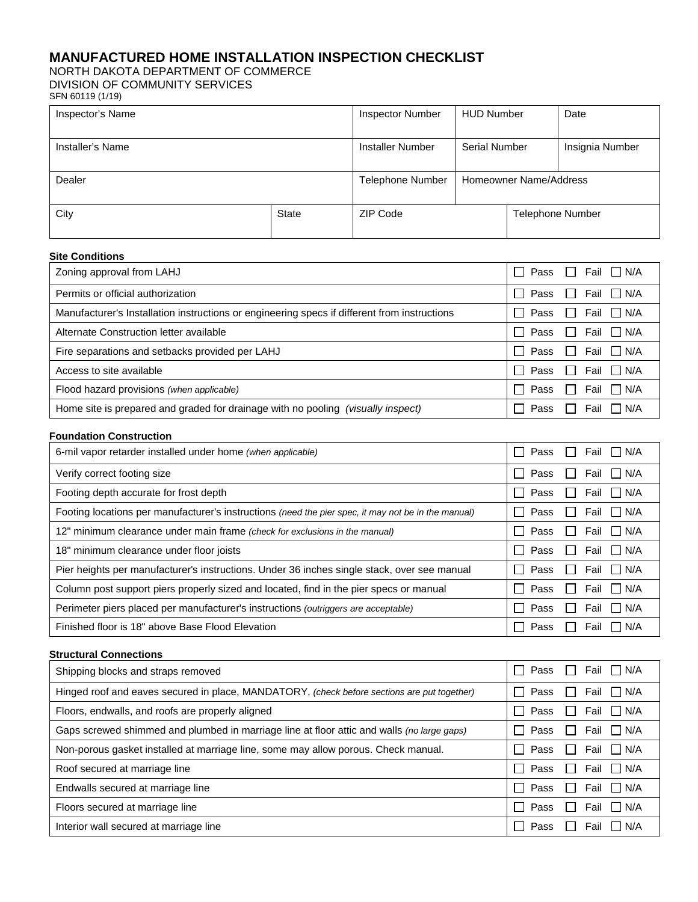# **MANUFACTURED HOME INSTALLATION INSPECTION CHECKLIST**

NORTH DAKOTA DEPARTMENT OF COMMERCE

DIVISION OF COMMUNITY SERVICES

| SFN 60119 (1/19) |  |
|------------------|--|
|                  |  |

| Inspector's Name |       | <b>Inspector Number</b> | <b>HUD Number</b>      |                         | Date            |  |
|------------------|-------|-------------------------|------------------------|-------------------------|-----------------|--|
| Installer's Name |       | Installer Number        | Serial Number          |                         | Insignia Number |  |
| Dealer           |       | <b>Telephone Number</b> | Homeowner Name/Address |                         |                 |  |
| City             | State | ZIP Code                |                        | <b>Telephone Number</b> |                 |  |

#### **Site Conditions**

| Zoning approval from LAHJ                                                                    | II Fail I I N/A<br>Pass<br>- 1                                                                                                                                                                                                                                                                                                                                                                                                                                                                            |
|----------------------------------------------------------------------------------------------|-----------------------------------------------------------------------------------------------------------------------------------------------------------------------------------------------------------------------------------------------------------------------------------------------------------------------------------------------------------------------------------------------------------------------------------------------------------------------------------------------------------|
| Permits or official authorization                                                            | Fail $\Box$ N/A<br>Pass<br>$\Box$                                                                                                                                                                                                                                                                                                                                                                                                                                                                         |
| Manufacturer's Installation instructions or engineering specs if different from instructions | $\Box$ N/A<br>Fail<br>Pass<br>$\perp$                                                                                                                                                                                                                                                                                                                                                                                                                                                                     |
| Alternate Construction letter available                                                      | Fail<br>П<br>$\Box$ N/A<br>Pass                                                                                                                                                                                                                                                                                                                                                                                                                                                                           |
| Fire separations and setbacks provided per LAHJ                                              | $\Box$<br>I N/A<br>Pass<br>Fail                                                                                                                                                                                                                                                                                                                                                                                                                                                                           |
| Access to site available                                                                     | Fail<br>$\overline{\phantom{a}}$ $\overline{\phantom{a}}$ $\overline{\phantom{a}}$ $\overline{\phantom{a}}$ $\overline{\phantom{a}}$ $\overline{\phantom{a}}$ $\overline{\phantom{a}}$ $\overline{\phantom{a}}$ $\overline{\phantom{a}}$ $\overline{\phantom{a}}$ $\overline{\phantom{a}}$ $\overline{\phantom{a}}$ $\overline{\phantom{a}}$ $\overline{\phantom{a}}$ $\overline{\phantom{a}}$ $\overline{\phantom{a}}$ $\overline{\phantom{a}}$ $\overline{\phantom{a}}$ $\overline{\$<br>Pass<br>$\Box$ |
| Flood hazard provisions (when applicable)                                                    | Pass<br>$\vert$ $\vert$ N/A<br>$\blacksquare$<br>Fail                                                                                                                                                                                                                                                                                                                                                                                                                                                     |
| Home site is prepared and graded for drainage with no pooling (visually inspect)             | Pass<br>I I N/A<br>Fail                                                                                                                                                                                                                                                                                                                                                                                                                                                                                   |

#### **Foundation Construction**

| 6-mil vapor retarder installed under home (when applicable)                                         | Pass<br>Fail N/A<br>$\mathbf{L}$                         |
|-----------------------------------------------------------------------------------------------------|----------------------------------------------------------|
| Verify correct footing size                                                                         | Pass<br>$\mathsf{I}$ $\mathsf{I}$ N/A<br>$\Box$<br>Fail  |
| Footing depth accurate for frost depth                                                              | Pass<br>Fail IN/A<br>$\mathbf{L}$                        |
| Footing locations per manufacturer's instructions (need the pier spec, it may not be in the manual) | Pass<br>I I N/A<br>Fail<br>$\mathbf{I}$                  |
| 12" minimum clearance under main frame (check for exclusions in the manual)                         | Pass<br>I I N/A<br>Fail<br>$\Box$                        |
| 18" minimum clearance under floor joists                                                            | Pass<br>Fail IN/A<br>$\perp$                             |
| Pier heights per manufacturer's instructions. Under 36 inches single stack, over see manual         | Pass<br>$\mathsf{I}$ $\mathsf{I}$ N/A<br>$\perp$<br>Fail |
| Column post support piers properly sized and located, find in the pier specs or manual              | Pass<br>I I N/A<br>Fail<br>$\mathbf{I}$                  |
| Perimeter piers placed per manufacturer's instructions <i>(outriggers are acceptable)</i>           | Pass<br>IIN/A<br>$\blacksquare$<br>Fail                  |
| Finished floor is 18" above Base Flood Elevation                                                    | Pass<br>N/A<br>Fail                                      |

#### **Structural Connections**

| Shipping blocks and straps removed                                                          | □ Fail □ N/A<br>Pass                                                                                                                         |
|---------------------------------------------------------------------------------------------|----------------------------------------------------------------------------------------------------------------------------------------------|
| Hinged roof and eaves secured in place, MANDATORY, (check before sections are put together) | Fail<br>I I N/A<br>Pass                                                                                                                      |
| Floors, endwalls, and roofs are properly aligned                                            | <b>The Contract of the Contract of the Contract of the Contract of the Contract of the Contract of the Contract o</b><br>Fail<br>N/A<br>Pass |
| Gaps screwed shimmed and plumbed in marriage line at floor attic and walls (no large gaps)  | $\bigcup$ N/A<br>Fail<br>Pass                                                                                                                |
| Non-porous gasket installed at marriage line, some may allow porous. Check manual.          | I IN/A<br>Fail<br>Pass                                                                                                                       |
| Roof secured at marriage line                                                               | $\Box$ N/A<br>Fail<br>Pass                                                                                                                   |
| Endwalls secured at marriage line                                                           | $\mathbf{1}$<br>Pass<br>Fail<br>  N/A                                                                                                        |
| Floors secured at marriage line                                                             | $\mathsf{I}$<br>Pass<br>Fail<br>N/A                                                                                                          |
| Interior wall secured at marriage line                                                      | Pass<br>N/A<br>Fail                                                                                                                          |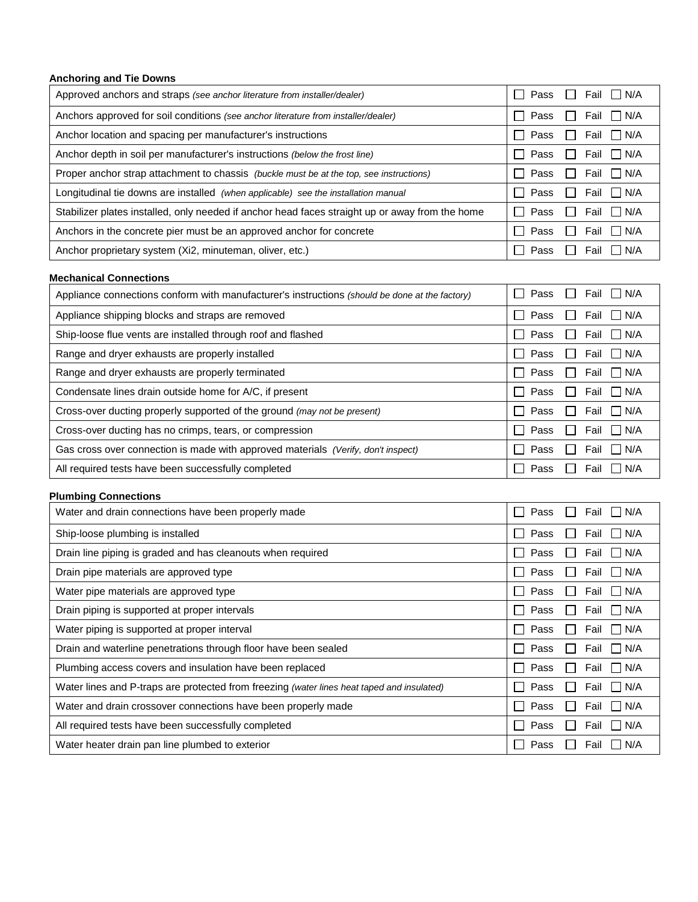## **Anchoring and Tie Downs**

| Approved anchors and straps (see anchor literature from installer/dealer)                       | Pass<br>$\Box$ Fail $\Box$ N/A                |
|-------------------------------------------------------------------------------------------------|-----------------------------------------------|
| Anchors approved for soil conditions (see anchor literature from installer/dealer)              | Pass<br>Fail $\Box$ N/A<br>$\mathbf{I}$       |
| Anchor location and spacing per manufacturer's instructions                                     | Pass<br>I I N/A<br>Fail<br>$\perp$            |
| Anchor depth in soil per manufacturer's instructions (below the frost line)                     | Pass<br>Fail<br>I I N/A<br>$\mathbf{I}$       |
| Proper anchor strap attachment to chassis (buckle must be at the top, see instructions)         | Pass<br>Fail<br>I IN/A<br>$\mathbf{I}$        |
| Longitudinal tie downs are installed (when applicable) see the installation manual              | Fail I N/A<br>Pass<br>$\perp$<br>$\mathsf{L}$ |
| Stabilizer plates installed, only needed if anchor head faces straight up or away from the home | Fail IN/A<br>I Pass<br>$\mathbf{I}$           |
| Anchors in the concrete pier must be an approved anchor for concrete                            | $\Box$ N/A<br>Pass<br>$\mathbf{I}$<br>Fail    |
| Anchor proprietary system (Xi2, minuteman, oliver, etc.)                                        | IIN/A<br>Pass<br>Fail                         |

## **Mechanical Connections**

| Appliance connections conform with manufacturer's instructions (should be done at the factory) | Pass<br>Fail<br>$\Box$<br>N/A                         |
|------------------------------------------------------------------------------------------------|-------------------------------------------------------|
| Appliance shipping blocks and straps are removed                                               | $\Box$ Pass<br>I IN/A<br>Fail<br>$\mathsf{L}$         |
| Ship-loose flue vents are installed through roof and flashed                                   | $\mathbf{I}$<br>Pass<br>Fail<br>I I N/A               |
| Range and dryer exhausts are properly installed                                                | $\perp$<br>Pass<br>I IN/A<br>Fail                     |
| Range and dryer exhausts are properly terminated                                               | $\perp$<br>Pass<br>$\Box$ N/A<br>Fail<br>$\mathbf{L}$ |
| Condensate lines drain outside home for A/C, if present                                        | $\Box$ Pass<br>Fail $\Box$ N/A<br>$\perp$             |
| Cross-over ducting properly supported of the ground (may not be present)                       | П<br>$\Box$ N/A<br>Pass<br>Fail<br>$\mathbf{L}$       |
| Cross-over ducting has no crimps, tears, or compression                                        | П<br>Pass<br>Fail<br>I IN/A                           |
| Gas cross over connection is made with approved materials (Verify, don't inspect)              | N/A<br>Pass<br>$\perp$<br>Fail<br>$\perp$             |
| All required tests have been successfully completed                                            | $\mathbf{I}$<br>N/A<br>Pass<br>$\perp$<br>Fail        |

## **Plumbing Connections**

| Water and drain connections have been properly made                                        | Pass<br>I N/A<br>Fail                                           |
|--------------------------------------------------------------------------------------------|-----------------------------------------------------------------|
| Ship-loose plumbing is installed                                                           | Pass<br>$\mathbf{L}$<br>IIN/A<br>Fail                           |
| Drain line piping is graded and has cleanouts when required                                | Pass<br>I IN/A<br>$\mathbf{I}$<br>Fail                          |
| Drain pipe materials are approved type                                                     | Pass<br>l In/A<br>Fail<br>$\sim$                                |
| Water pipe materials are approved type                                                     | Pass<br>N/A<br>$\mathbf{I}$<br>Fail<br>$\mathsf{L}$             |
| Drain piping is supported at proper intervals                                              | Pass<br>I I N/A<br>$\mathbf{I}$<br>Fail                         |
| Water piping is supported at proper interval                                               | Pass<br>I I N/A<br>$\blacksquare$<br>Fail                       |
| Drain and waterline penetrations through floor have been sealed                            | Pass<br>I I N/A<br>$\mathbf{L}$<br>Fail                         |
| Plumbing access covers and insulation have been replaced                                   | Pass<br>$\mathsf{I}$ $\mathsf{I}$ N/A<br>$\mathbf{I}$<br>Fail   |
| Water lines and P-traps are protected from freezing (water lines heat taped and insulated) | Pass<br>I I N/A<br>Fail<br>$\mathbf{I}$                         |
| Water and drain crossover connections have been properly made                              | Pass<br>IIN/A<br>$\mathbf{L}$<br>Fail                           |
| All required tests have been successfully completed                                        | Pass<br>N/A<br>$\mathbf{I}$<br>Fail<br>$\overline{\phantom{a}}$ |
| Water heater drain pan line plumbed to exterior                                            | Pass<br>N/A<br>Fail                                             |